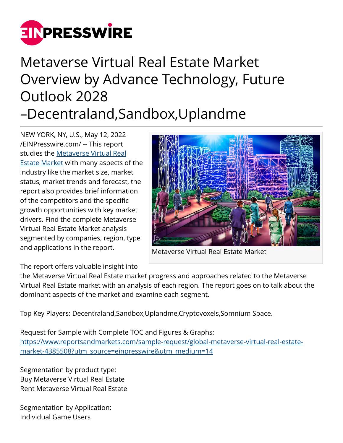

## Metaverse Virtual Real Estate Market Overview by Advance Technology, Future Outlook 2028 –Decentraland,Sandbox,Uplandme

NEW YORK, NY, U.S., May 12, 2022 [/EINPresswire.com/](http://www.einpresswire.com) -- This report studies the [Metaverse Virtual Real](https://www.reportsandmarkets.com/reports/global-metaverse-virtual-real-estate-market-4385508?utm_source=einpresswire&utm_medium=14) [Estate Market](https://www.reportsandmarkets.com/reports/global-metaverse-virtual-real-estate-market-4385508?utm_source=einpresswire&utm_medium=14) with many aspects of the industry like the market size, market status, market trends and forecast, the report also provides brief information of the competitors and the specific growth opportunities with key market drivers. Find the complete Metaverse Virtual Real Estate Market analysis segmented by companies, region, type and applications in the report.



Metaverse Virtual Real Estate Market

The report offers valuable insight into

the Metaverse Virtual Real Estate market progress and approaches related to the Metaverse Virtual Real Estate market with an analysis of each region. The report goes on to talk about the dominant aspects of the market and examine each segment.

Top Key Players: Decentraland,Sandbox,Uplandme,Cryptovoxels,Somnium Space.

Request for Sample with Complete TOC and Figures & Graphs: [https://www.reportsandmarkets.com/sample-request/global-metaverse-virtual-real-estate](https://www.reportsandmarkets.com/sample-request/global-metaverse-virtual-real-estate-market-4385508?utm_source=einpresswire&utm_medium=14)[market-4385508?utm\\_source=einpresswire&utm\\_medium=14](https://www.reportsandmarkets.com/sample-request/global-metaverse-virtual-real-estate-market-4385508?utm_source=einpresswire&utm_medium=14)

Segmentation by product type: Buy Metaverse Virtual Real Estate Rent Metaverse Virtual Real Estate

Segmentation by Application: Individual Game Users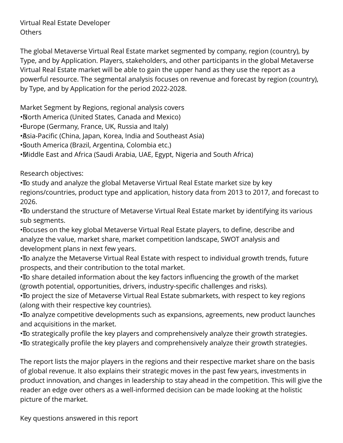Virtual Real Estate Developer Others

The global Metaverse Virtual Real Estate market segmented by company, region (country), by Type, and by Application. Players, stakeholders, and other participants in the global Metaverse Virtual Real Estate market will be able to gain the upper hand as they use the report as a powerful resource. The segmental analysis focuses on revenue and forecast by region (country), by Type, and by Application for the period 2022-2028.

Market Segment by Regions, regional analysis covers

• North America (United States, Canada and Mexico)

• Europe (Germany, France, UK, Russia and Italy)

• Asia-Pacific (China, Japan, Korea, India and Southeast Asia)

• South America (Brazil, Argentina, Colombia etc.)

• Middle East and Africa (Saudi Arabia, UAE, Egypt, Nigeria and South Africa)

Research objectives:

• To study and analyze the global Metaverse Virtual Real Estate market size by key regions/countries, product type and application, history data from 2013 to 2017, and forecast to 2026.

• To understand the structure of Metaverse Virtual Real Estate market by identifying its various sub segments.

• Focuses on the key global Metaverse Virtual Real Estate players, to define, describe and analyze the value, market share, market competition landscape, SWOT analysis and development plans in next few years.

• To analyze the Metaverse Virtual Real Estate with respect to individual growth trends, future prospects, and their contribution to the total market.

• To share detailed information about the key factors influencing the growth of the market (growth potential, opportunities, drivers, industry-specific challenges and risks).

• To project the size of Metaverse Virtual Real Estate submarkets, with respect to key regions (along with their respective key countries).

• To analyze competitive developments such as expansions, agreements, new product launches and acquisitions in the market.

• To strategically profile the key players and comprehensively analyze their growth strategies. • To strategically profile the key players and comprehensively analyze their growth strategies.

The report lists the major players in the regions and their respective market share on the basis of global revenue. It also explains their strategic moves in the past few years, investments in product innovation, and changes in leadership to stay ahead in the competition. This will give the reader an edge over others as a well-informed decision can be made looking at the holistic picture of the market.

Key questions answered in this report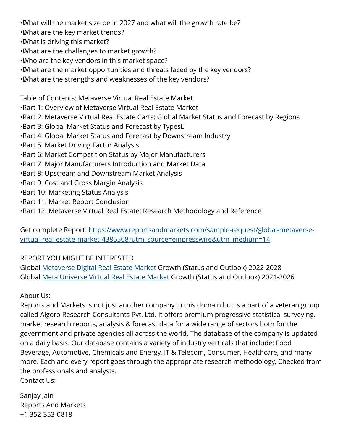•What will the market size be in 2027 and what will the growth rate be?

- • What are the key market trends?
- • What is driving this market?
- • What are the challenges to market growth?
- Who are the key vendors in this market space?
- • What are the market opportunities and threats faced by the key vendors?
- • What are the strengths and weaknesses of the key vendors?

Table of Contents: Metaverse Virtual Real Estate Market

- • Part 1: Overview of Metaverse Virtual Real Estate Market
- Bart 2: Metaverse Virtual Real Estate Carts: Global Market Status and Forecast by Regions
- $\cdot$ Bart 3: Global Market Status and Forecast by Types $\Box$
- Bart 4: Global Market Status and Forecast by Downstream Industry
- **Bart 5: Market Driving Factor Analysis**
- • Part 6: Market Competition Status by Major Manufacturers
- Bart 7: Major Manufacturers Introduction and Market Data
- **Bart 8: Upstream and Downstream Market Analysis**
- **Bart 9: Cost and Gross Margin Analysis**
- Bart 10: Marketing Status Analysis
- • Part 11: Market Report Conclusion
- Bart 12: Metaverse Virtual Real Estate: Research Methodology and Reference

Get complete Report: [https://www.reportsandmarkets.com/sample-request/global-metaverse](https://www.reportsandmarkets.com/sample-request/global-metaverse-virtual-real-estate-market-4385508?utm_source=einpresswire&utm_medium=14)[virtual-real-estate-market-4385508?utm\\_source=einpresswire&utm\\_medium=14](https://www.reportsandmarkets.com/sample-request/global-metaverse-virtual-real-estate-market-4385508?utm_source=einpresswire&utm_medium=14)

## REPORT YOU MIGHT BE INTERESTED

Global [Metaverse Digital Real Estate Market](https://www.reportsandmarkets.com/reports/global-metaverse-digital-real-estate-market-4378318?utm_source=einpresswire&utm_medium=14) Growth (Status and Outlook) 2022-2028 Global [Meta Universe Virtual Real Estate Market](https://www.reportsandmarkets.com/reports/global-meta-universe-virtual-real-estate-market-4359295?utm_source=einpresswire&utm_medium=14) Growth (Status and Outlook) 2021-2026

## About Us:

Reports and Markets is not just another company in this domain but is a part of a veteran group called Algoro Research Consultants Pvt. Ltd. It offers premium progressive statistical surveying, market research reports, analysis & forecast data for a wide range of sectors both for the government and private agencies all across the world. The database of the company is updated on a daily basis. Our database contains a variety of industry verticals that include: Food Beverage, Automotive, Chemicals and Energy, IT & Telecom, Consumer, Healthcare, and many more. Each and every report goes through the appropriate research methodology, Checked from the professionals and analysts. Contact Us:

Sanjay Jain Reports And Markets +1 352-353-0818